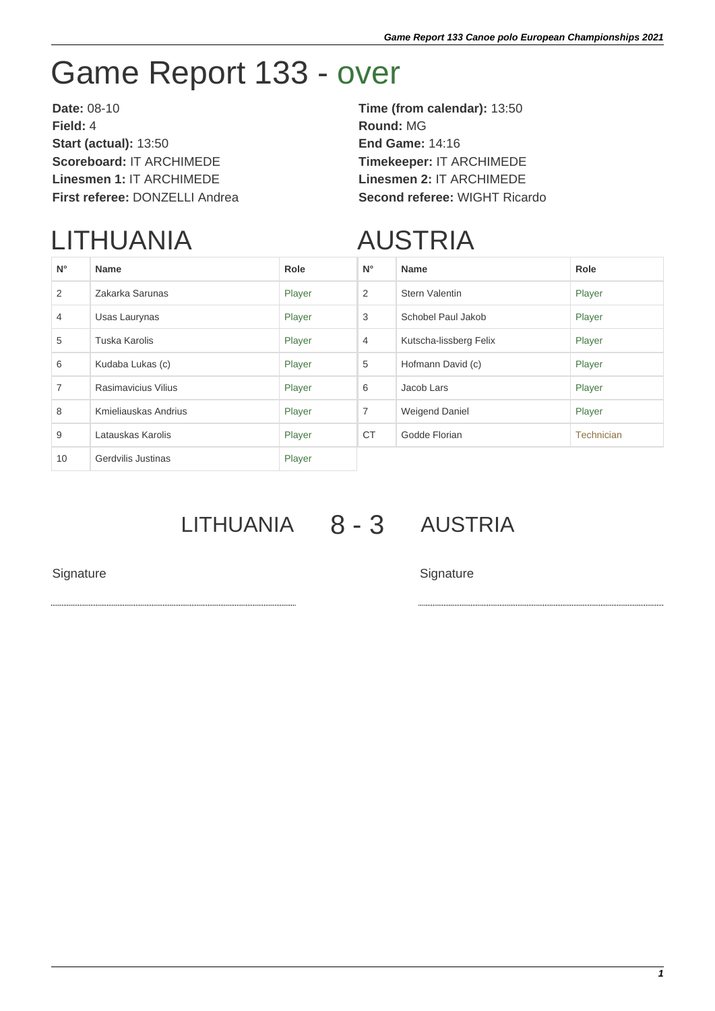## Game Report 133 - over

**Date:** 08-10 **Time (from calendar):** 13:50 **Field:** 4 **Round:** MG **Start (actual):** 13:50 **End Game:** 14:16 **Scoreboard:** IT ARCHIMEDE **Timekeeper:** IT ARCHIMEDE **Linesmen 1:** IT ARCHIMEDE **Linesmen 2:** IT ARCHIMEDE **First referee:** DONZELLI Andrea **Second referee:** WIGHT Ricardo

## LITHUANIA

## AUSTRIA

| $N^{\circ}$    | <b>Name</b>          | Role   | $N^{\circ}$    | <b>Name</b>            | Role              |
|----------------|----------------------|--------|----------------|------------------------|-------------------|
| 2              | Zakarka Sarunas      | Player | $\overline{2}$ | <b>Stern Valentin</b>  | Player            |
| $\overline{4}$ | Usas Laurynas        | Player | 3              | Schobel Paul Jakob     | Player            |
| 5              | Tuska Karolis        | Player | $\overline{4}$ | Kutscha-lissberg Felix | Player            |
| 6              | Kudaba Lukas (c)     | Player | 5              | Hofmann David (c)      | Player            |
| $\overline{7}$ | Rasimavicius Vilius  | Player | 6              | Jacob Lars             | Player            |
| 8              | Kmieliauskas Andrius | Player | 7              | Weigend Daniel         | Player            |
| 9              | Latauskas Karolis    | Player | <b>CT</b>      | Godde Florian          | <b>Technician</b> |
| 10             | Gerdvilis Justinas   | Player |                |                        |                   |

LITHUANIA 8 - 3 AUSTRIA

Signature Signature Signature Signature Signature Signature Signature Signature Signature Signature Signature Signature Signature Signature Signature Signature Signature Signature Signature Signature Signature Signature Si